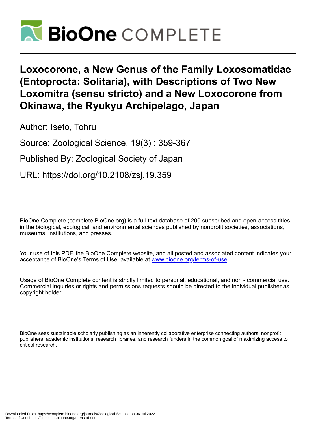

# **Loxocorone, a New Genus of the Family Loxosomatidae (Entoprocta: Solitaria), with Descriptions of Two New Loxomitra (sensu stricto) and a New Loxocorone from Okinawa, the Ryukyu Archipelago, Japan**

Author: Iseto, Tohru

Source: Zoological Science, 19(3) : 359-367

Published By: Zoological Society of Japan

URL: https://doi.org/10.2108/zsj.19.359

BioOne Complete (complete.BioOne.org) is a full-text database of 200 subscribed and open-access titles in the biological, ecological, and environmental sciences published by nonprofit societies, associations, museums, institutions, and presses.

Your use of this PDF, the BioOne Complete website, and all posted and associated content indicates your acceptance of BioOne's Terms of Use, available at www.bioone.org/terms-of-use.

Usage of BioOne Complete content is strictly limited to personal, educational, and non - commercial use. Commercial inquiries or rights and permissions requests should be directed to the individual publisher as copyright holder.

BioOne sees sustainable scholarly publishing as an inherently collaborative enterprise connecting authors, nonprofit publishers, academic institutions, research libraries, and research funders in the common goal of maximizing access to critical research.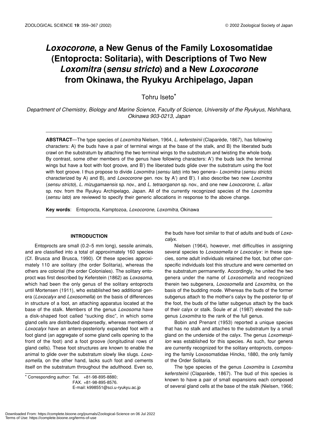# *Loxocorone***, a New Genus of the Family Loxosomatidae (Entoprocta: Solitaria), with Descriptions of Two New** *Loxomitra* **(***sensu stricto***) and a New** *Loxocorone* **from Okinawa, the Ryukyu Archipelago, Japan**

Tohru Iseto\*

*Department of Chemistry, Biology and Marine Science, Faculty of Science, University of the Ryukyus, Nishihara, Okinawa 903-0213, Japan*

**ABSTRACT**—The type species of *Loxomitra* Nielsen, 1964, *L. kefersteinii* (Claparède, 1867), has following characters: A) the buds have a pair of terminal wings at the base of the stalk, and B) the liberated buds crawl on the substratum by attaching the two terminal wings to the substratum and twisting the whole body. By contrast, some other members of the genus have following characters: A') the buds lack the terminal wings but have a foot with foot groove, and B') the liberated buds glide over the substratum using the foot with foot groove. I thus propose to divide *Loxomitra* (*sensu lato*) into two genera– *Loxomitra* (*sensu stricto*) characterized by A) and B), and *Loxocorone* gen. nov. by A') and B'). I also describe two new *Loxomitra* (*sensu stricto*), *L. mizugamaensis* sp. nov., and *L. tetraorganon* sp. nov., and one new *Loxocorone*, *L. allax* sp. nov. from the Ryukyu Archipelago, Japan. All of the currently recognized species of the *Loxomitra* (*sensu lato*) are reviewed to specify their generic allocations in response to the above change.

**Key words**: Entoprocta, Kamptozoa, *Loxocorone*, *Loxomitra*, Okinawa

# **INTRODUCTION**

Entoprocts are small (0.2–5 mm long), sessile animals, and are classified into a total of approximately 160 species (Cf. Brusca and Brusca, 1990). Of these species approximately 110 are solitary (the order Solitaria), whereas the others are colonial (the order Coloniales). The solitary entoproct was first described by Keferstein (1862) as *Loxosoma*, which had been the only genus of the solitary entoprocts until Mortensen (1911), who established two additional genera (*Loxocalyx* and *Loxosomella*) on the basis of differences in structure of a foot, an attaching apparatus located at the base of the stalk. Members of the genus *Loxosoma* have a disk-shaped foot called "sucking disc", in which some gland cells are distributed dispersedly, whereas members of *Loxocalyx* have an antero-posteriorly expanded foot with a foot gland (an aggregate of some gland cells opening to the front of the foot) and a foot groove (longitudinal rows of gland cells). These foot structures are known to enable the animal to glide over the substratum slowly like slugs. *Loxosomella*, on the other hand, lacks such foot and cements itself on the substratum throughout the adulthood. Even so,

\* Corresponding author: Tel. +81-98-895-8880; FAX. +81-98-895-8576. E-mail: k998551@sci.u-ryukyu.ac.jp the buds have foot similar to that of adults and buds of *Loxocalyx*.

Nielsen (1964), however, met difficulties in assigning several species to *Loxosomella* or *Loxocalyx*: in these species, some adult individuals retained the foot, but other conspecific individuals lost this structure and were cemented on the substratum permanently. Accordingly, he united the two genera under the name of *Loxosomella* and recognized therein two subgenera, *Loxosomella* and *Loxomitra*, on the basis of the budding mode. Whereas the buds of the former subgenus attach to the mother's calyx by the posterior tip of the foot, the buds of the latter subgenus attach by the back of their calyx or stalk. Soule *et al.* (1987) elevated the subgenus *Loxomitra* to the rank of the full genus.

Bobin and Prenant (1953) reported a unique species that has no stalk and attaches to the substratum by a small gland on the underside of the calyx. The genus *Loxomespilon* was established for this species. As such, four genera are currently recognized for the solitary entoprocts, composing the family Loxosomatidae Hincks, 1880, the only family of the Order Solitaria.

The type species of the genus *Loxomitra* is *Loxomitra kefersteinii* (Claparède, 1867). The bud of this species is known to have a pair of small expansions each composed of several gland cells at the base of the stalk (Nielsen, 1966;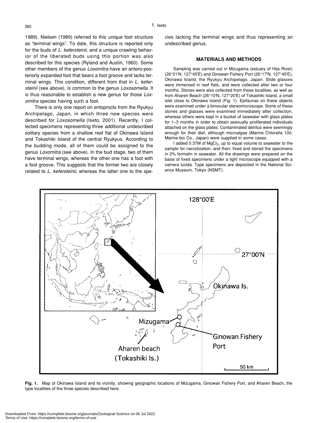1989). Nielsen (1989) referred to this unique foot structure as "terminal wings". To date, this structure is reported only for the buds of *L. kefersteinii*, and a unique crawling behavior of the liberated buds using this portion was also described for this species (Ryland and Austin, 1960). Some other members of the genus *Loxomitra* have an antero-posteriorly expanded foot that bears a foot groove and lacks terminal wings. This condition, different from that in *L. kefersteinii* (see above), is common to the genus *Loxosomella*. It is thus reasonable to establish a new genus for those *Loxomitra* species having such a foot.

There is only one report on entoprocts from the Ryukyu Archipelago, Japan, in which three new species were described for *Loxosomella* (Iseto, 2001). Recently, I collected specimens representing three additional undescribed solitary species from a shallow reef flat of Okinawa Island and Tokashiki Island of the central Ryukyus. According to the budding mode, all of them could be assigned to the genus *Loxomitra* (see above). In the bud stage, two of them have terminal wings, whereas the other one has a foot with a foot groove. This suggests that the former two are closely related to *L. kefersteinii*, whereas the latter one to the species lacking the terminal wings and thus representing an undescribed genus.

#### **MATERIALS AND METHODS**

Sampling was carried out in Mizugama (estuary of Hija River) (26°21'N, 127°45'E) and Ginowan Fishery Port (26°17'N, 127°45'E), Okinawa Island, the Ryukyu Archipelago, Japan. Slide glasses were immersed in reef flats, and were collected after two or four months. Stones were also collected from these localities, as well as from Aharen Beach (26°10'N, 127°20'E) of Tokashiki Island, a small islet close to Okinawa Island (Fig. 1). Epifaunas on these objects were examined under a binocular stereomicroscope. Some of these stones and glasses were examined immediately after collection, whereas others were kept in a bucket of seawater with glass plates for 1–3 months in order to obtain asexually proliferated individuals attached on the glass plates. Contaminated detritus were seemingly enough for their diet, although microalgae (Marine Chlorella 100, Marine-bio Co., Japan) were supplied in some cases.

I added 0.37M of MgCl<sub>2</sub>, up to equal volume to seawater to the sample for narcotization, and then, fixed and stored the specimens in 2% formalin in seawater. All the drawings were prepared on the basis of fixed specimens under a light microscope equipped with a camera lucida. Type specimens are deposited in the National Science Museum, Tokyo (NSMT).



**Fig. 1.** Map of Okinawa Island and its vicinity, showing geographic locations of Mizugama, Ginowan Fishery Port, and Aharen Beach, the type localities of the three species described here.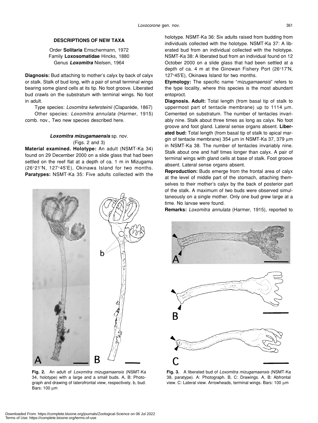# **DESCRIPTIONS OF NEW TAXA**

Order **Solitaria** Emschermann, 1972 Family **Loxosomatidae** Hincks, 1880 Genus *Loxomitra* Nielsen, 1964

**Diagnosis:** Bud attaching to mother's calyx by back of calyx or stalk. Stalk of bud long, with a pair of small terminal wings bearing some gland cells at its tip. No foot groove. Liberated bud crawls on the substratum with terminal wings. No foot in adult.

Type species: *Loxomitra kefersteinii* (Claparède, 1867) Other species: *Loxomitra annulata* (Harmer, 1915) comb. nov., Two new species described here.

# *Loxomitra mizugamaensis* sp. nov. (Figs. 2 and 3)

**Material examined. Holotype:** An adult (NSMT-Ka 34) found on 29 December 2000 on a slide glass that had been settled on the reef flat at a depth of ca. 1 m in Mizugama (26°21'N, 127°45'E), Okinawa Island for two months. **Paratypes:** NSMT-Ka 35: Five adults collected with the



**Fig. 2.** An adult of *Loxomitra mizugamaensis* (NSMT-Ka 34, holotype) with a large and a small buds. A, B: Photograph and drawing of laterofrontal view, respectively. b, bud. Bars: 100 µm

holotype. NSMT-Ka 36: Six adults raised from budding from individuals collected with the holotype. NSMT-Ka 37: A liberated bud from an individual collected with the holotype. NSMT-Ka 38: A liberated bud from an individual found on 12 October 2000 on a slide glass that had been settled at a depth of ca. 4 m at the Ginowan Fishery Port (26°17'N, 127°45'E), Okinawa Island for two months.

**Etymology:** The specific name "*mizugamaensis*" refers to the type locality, where this species is the most abundant entoproct.

**Diagnosis. Adult:** Total length (from basal tip of stalk to uppermost part of tentacle membrane) up to 1114 um. Cemented on substratum. The number of tentacles invariably nine. Stalk about three times as long as calyx. No foot groove and foot gland. Lateral sense organs absent. **Liberated bud:** Total length (from basal tip of stalk to apical margin of tentacle membrane) 354 µm in NSMT-Ka 37, 379 µm in NSMT-Ka 38. The number of tentacles invariably nine. Stalk about one and half times longer than calyx. A pair of terminal wings with gland cells at base of stalk. Foot groove absent. Lateral sense organs absent.

**Reproduction:** Buds emerge from the frontal area of calyx at the level of middle part of the stomach, attaching themselves to their mother's calyx by the back of posterior part of the stalk. A maximum of two buds were observed simultaneously on a single mother. Only one bud grew large at a time. No larvae were found.

**Remarks:** *Loxomitra annulata* (Harmer, 1915), reported to



**Fig. 3.** A liberated bud of *Loxomitra mizugamaensis* (NSMT-Ka 38, paratype). A: Photograph. B, C: Drawings. A, B: Abfrontal view. C: Lateral view. Arrowheads, terminal wings. Bars: 100 µm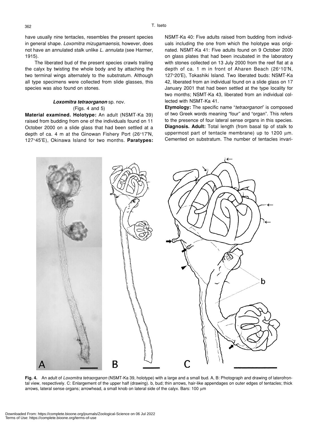have usually nine tentacles, resembles the present species in general shape. *Loxomitra mizugamaensis*, however, does not have an annulated stalk unlike *L. annulata* (see Harmer, 1915).

The liberated bud of the present species crawls trailing the calyx by twisting the whole body and by attaching the two terminal wings alternately to the substratum. Although all type specimens were collected from slide glasses, this species was also found on stones.

## *Loxomitra tetraorganon* sp. nov. (Figs. 4 and 5)

**Material examined. Holotype:** An adult (NSMT-Ka 39) raised from budding from one of the individuals found on 11 October 2000 on a slide glass that had been settled at a depth of ca. 4 m at the Ginowan Fishery Port (26°17'N, 127°45'E), Okinawa Island for two months. **Paratypes:** NSMT-Ka 40: Five adults raised from budding from individuals including the one from which the holotype was originated. NSMT-Ka 41: Five adults found on 9 October 2000 on glass plates that had been incubated in the laboratory with stones collected on 13 July 2000 from the reef flat at a depth of ca. 1 m in front of Aharen Beach (26°10'N, 127°20'E), Tokashiki Island. Two liberated buds: NSMT-Ka 42, liberated from an individual found on a slide glass on 17 January 2001 that had been settled at the type locality for two months; NSMT-Ka 43, liberated from an individual collected with NSMT-Ka 41.

**Etymology:** The specific name "*tetraorganon*" is composed of two Greek words meaning "four" and "organ". This refers to the presence of four lateral sense organs in this species. **Diagnosis. Adult:** Total length (from basal tip of stalk to uppermost part of tentacle membrane) up to 1200  $\mu$ m. Cemented on substratum. The number of tentacles invari-

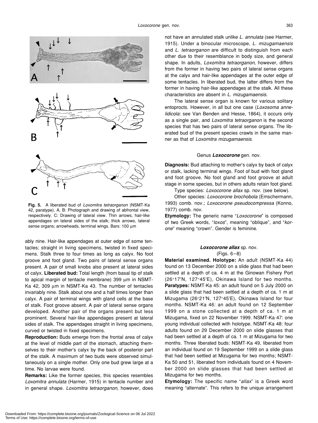

**Fig. 5.** A liberated bud of *Loxomitra tetraorganon* (NSMT-Ka 42, paratype). A, B: Photograph and drawing of abfrontal view, respectively. C: Drawing of lateral view. Thin arrows, hair-like appendages on lateral sides of the stalk; thick arrows, lateral sense organs; arrowheads, terminal wings. Bars: 100 µm

ably nine. Hair-like appendages at outer edge of some tentacles; straight in living specimens, twisted in fixed specimens. Stalk three to four times as long as calyx. No foot groove and foot gland. Two pairs of lateral sense organs present. A pair of small knobs also present at lateral sides of calyx. **Liberated bud:** Total length (from basal tip of stalk to apical margin of tentacle membrane) 399 µm in NSMT-Ka 42, 309 µm in NSMT-Ka 43. The number of tentacles invariably nine. Stalk about one and a half times longer than calyx. A pair of terminal wings with gland cells at the base of stalk. Foot groove absent. A pair of lateral sense organs developed. Another pair of the organs present but less prominent. Several hair-like appendages present at lateral sides of stalk. The appendages straight in living specimens, curved or twisted in fixed specimens.

**Reproduction:** Buds emerge from the frontal area of calyx at the level of middle part of the stomach, attaching themselves to their mother's calyx by the back of posterior part of the stalk. A maximum of two buds were observed simultaneously on a single mother. Only one bud grew large at a time. No larvae were found.

**Remarks:** Like the former species, this species resembles *Loxomitra annulata* (Harmer, 1915) in tentacle number and in general shape. *Loxomitra tetraorganon*, however, does

not have an annulated stalk unlike *L. annulata* (see Harmer, 1915). Under a binocular microscope, *L. mizugamaensis* and *L. tetraorganon* are difficult to distinguish from each other due to their resemblance in body size, and general shape. In adults, *Loxomitra tetraorganon*, however, differs from the former in having two pairs of lateral sense organs at the calyx and hair-like appendages at the outer edge of some tentacles. In liberated bud, the latter differs from the former in having hair-like appendages at the stalk. All these characteristics are absent in *L. mizugamaensis*.

The lateral sense organ is known for various solitary entoprocts. However, in all but one case (*Loxosoma annelidicola*: see Van Benden and Hesse, 1864), it occurs only as a single pair, and *Loxomitra tetraorganon* is the second species that has two pairs of lateral sense organs. The liberated bud of the present species crawls in the same manner as that of *Loxomitra mizugamaensis*.

#### Genus *Loxocorone* gen. nov.

**Diagnosis:** Bud attaching to mother's calyx by back of calyx or stalk, lacking terminal wings. Foot of bud with foot gland and foot groove. No foot gland and foot groove at adult stage in some species, but in others adults retain foot gland.

Type species: *Loxocorone allax* sp. nov. (see below).

Other species: *Loxocorone brochobola* (Emschermann, 1993) comb. nov.; *Loxocorone pseudocompressa* (Konno, 1977) comb. nov.

**Etymology:** The generic name "*Loxocorone*" is composed of two Greek words, "*loxos*", meaning "oblique", and "*korone*" meaning "crown". Gender is feminine.

# *Loxocorone allax* sp. nov. (Figs. 6–8)

**Material examined. Holotype:** An adult (NSMT-Ka 44) found on 13 December 2000 on a slide glass that had been settled at a depth of ca. 4 m at the Ginowan Fishery Port (26°17'N, 127°45'E), Okinawa Island for two months. **Paratypes:** NSMT-Ka 45: an adult found on 5 July 2000 on a slide glass that had been settled at a depth of ca. 1 m at Mizugama (26°21'N, 127°45'E), Okinawa Island for four months. NSMT-Ka 46: an adult found on 12 September 1999 on a stone collected at a depth of ca. 1 m at Mizugama, fixed on 22 November 1999. NSMT-Ka 47: one young individual collected with holotype. NSMT-Ka 48: four adults found on 29 December 2000 on slide glasses that had been settled at a depth of ca. 1 m at Mizugama for two months. Three liberated buds: NSMT-Ka 49, liberated from an individual found on 19 September 1999 on a slide glass that had been settled at Mizugama for two months; NSMT-Ka 50 and 51, liberated from individuals found on 4 November 2000 on slide glasses that had been settled at Mizugama for two months.

**Etymology:** The specific name "*allax*" is a Greek word meaning "alternate". This refers to the unique arrangement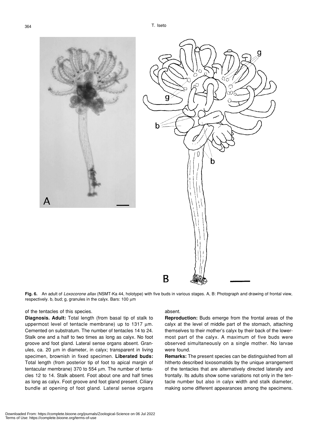





**Fig. 6.** An adult of *Loxocorone allax* (NSMT-Ka 44, holotype) with five buds in various stages. A, B: Photograph and drawing of frontal view, respectively. b, bud; g, granules in the calyx. Bars: 100 µm

### of the tentacles of this species.

**Diagnosis. Adult:** Total length (from basal tip of stalk to uppermost level of tentacle membrane) up to 1317  $\mu$ m. Cemented on substratum. The number of tentacles 14 to 24. Stalk one and a half to two times as long as calyx. No foot groove and foot gland. Lateral sense organs absent. Granules, ca. 20 µm in diameter, in calyx; transparent in living specimen, brownish in fixed specimen. **Liberated buds:** Total length (from posterior tip of foot to apical margin of tentacular membrane) 370 to 554 µm. The number of tentacles 12 to 14. Stalk absent. Foot about one and half times as long as calyx. Foot groove and foot gland present. Ciliary bundle at opening of foot gland. Lateral sense organs

#### absent.

**Reproduction:** Buds emerge from the frontal areas of the calyx at the level of middle part of the stomach, attaching themselves to their mother's calyx by their back of the lowermost part of the calyx. A maximum of five buds were observed simultaneously on a single mother. No larvae were found.

**Remarks:** The present species can be distinguished from all hitherto described loxosomatids by the unique arrangement of the tentacles that are alternatively directed laterally and frontally. Its adults show some variations not only in the tentacle number but also in calyx width and stalk diameter, making some different appearances among the specimens.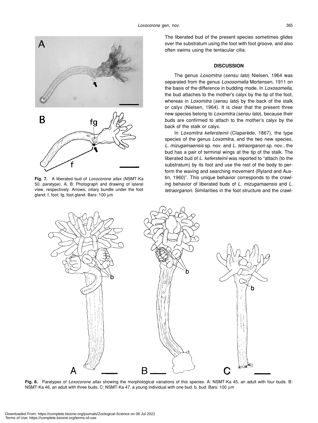

**Fig. 7.** A liberated bud of *Loxocorone allax* (NSMT-Ka 50, paratype). A, B: Photograph and drawing of lateral view, respectively. Arrows, ciliary bundle under the foot gland; f, foot; fg, foot gland. Bars: 100 µm

The liberated bud of the present species sometimes glides over the substratum using the foot with foot groove, and also often swims using the tentacular cilia.

#### **DISCUSSION**

The genus *Loxomitra* (*sensu lato*) Nielsen, 1964 was separated from the genus *Loxosomella* Mortensen, 1911 on the basis of the difference in budding mode. In *Loxosomella*, the bud attaches to the mother's calyx by the tip of the foot, whereas in *Loxomitra* (*sensu lato*) by the back of the stalk or calyx (Nielsen, 1964). It is clear that the present three new species belong to *Loxomitra* (*sensu lato*), because their buds are confirmed to attach to the mother's calyx by the back of the stalk or calyx.

In *Loxomitra kefersteinii* (Claparède, 1867), the type species of the genus *Loxomitra*, and the two new species, *L. mizugamaensis* sp. nov. and *L. tetraorganon* sp. nov., the bud has a pair of terminal wings at the tip of the stalk. The liberated bud of *L. kefersteinii* was reported to "attach (to the substratum) by its foot and use the rest of the body to perform the waving and searching movement (Ryland and Austin, 1960)". This unique behavior corresponds to the crawling behavior of liberated buds of *L. mizugamaensis* and *L. tetraorganon*. Similarities in the foot structure and the crawl-



**Fig. 8.** Paratypes of *Loxocorone allax* showing the morphological variations of this species. A: NSMT-Ka 45, an adult with four buds. B: NSMT-Ka 46, an adult with three buds. C: NSMT-Ka 47, a young individual with one bud. b, bud. Bars: 100 µm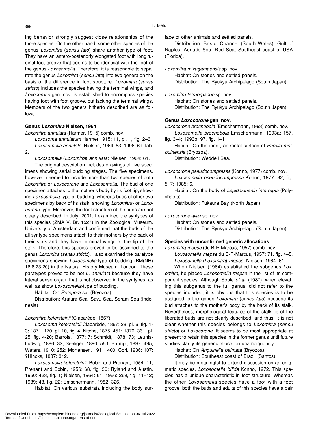ing behavior strongly suggest close relationships of the three species. On the other hand, some other species of the genus *Loxomitra* (*sensu lato*) share another type of foot. They have an antero-posteriorly elongated foot with longitudinal foot groove that seems to be identical with the foot of the genus *Loxosomella*. Therefore, it is reasonable to separate the genus *Loxomitra* (*sensu lato*) into two genera on the basis of the difference in foot structure. *Loxomitra* (*sensu stricto*) includes the species having the terminal wings, and *Loxocorone* gen. nov. is established to encompass species having foot with foot groove, but lacking the terminal wings. Members of the two genera hitherto described are as follows:

### **Genus** *Loxomitra* **Nielsen, 1964**

*Loxomitra annulata* (Harmer, 1915) comb. nov.

*Loxosoma annulatum* Harmer,1915: 11, pl. 1, fig. 2–6. *Loxosomella annulata*: Nielsen, 1964: 63; 1996: 69, tab. 2.

*Loxosomella* (*Loxomitra*) *annulata*: Nielsen, 1964: 61.

The original description includes drawings of five specimens showing serial budding stages. The five specimens, however, seemed to include more than two species of both *Loxomitra* or *Loxocorone* and *Loxosomella*. The bud of one specimen attaches to the mother's body by its foot tip, showing *Loxosomella-*type of budding, whereas buds of other two specimens by back of its stalk, showing *Loxomitra-* or *Loxocorone*-type. Moreover, the foot structure of the buds are not clearly described. In July, 2001, I examined the syntypes of this species (ZMA V. Br. 1527) in the Zoological Museum, University of Amsterdam and confirmed that the buds of the all syntype specimens attach to their mothers by the back of their stalk and they have terminal wings at the tip of the stalk. Therefore, this species proved to be assigned to the genus *Loxomitra* (*sensu stricto*). I also examined the paratype specimens showing *Loxosomella*-type of budding (BM(NH) 16.8.23.20) in the Natural History Museum, London. These paratypes proved to be not *L. annulata* because they have lateral sense organ, that is not observed in the syntypes, as well as show *Loxosomella*-type of budding.

Habitat: On *Retepora* sp. (Bryozoa).

Distribution: Arafura Sea, Savu Sea, Seram Sea (Indonesia)

#### *Loxomitra kefersteinii* (Claparède, 1867)

*Loxosoma kefersteinii* Claparède, 1867: 28, pl. 6, fig. 1- 3; 1871: 170, pl. 10, fig. 4; Nitche, 1875: 451; 1876: 361, pl. 25, fig. 4-20; Barrois, 1877: 7; Schmidt, 1878: 73; Leunis-Ludwig, 1886: 32; Seeliger, 1890: 563; Brumpt, 1897: 495; Waters, 1910: 252; Mortensen, 1911: 400; Cori, 1936: 107; ?Hincks, 1887: 312.

*Loxosomella kefersteinii*: Bobin and Prenant, 1954: 11; Prenant and Bobin, 1956: 68, fig. 30; Ryland and Austin, 1960: 423, fig. 1; Nielsen, 1964: 61; 1966: 269, fig. 11–12; 1989: 48, fig. 22; Emschermann, 1982: 326.

Habitat: On various substrata including the body sur-

face of other animals and settled panels.

Distribution: Bristol Channel (South Wales), Gulf of Naples, Adriatic Sea, Red Sea, Southeast coast of USA (Florida).

*Loxomitra mizugamaensis* sp. nov.

Habitat: On stones and settled panels. Distribution: The Ryukyu Archipelago (South Japan).

*Loxomitra tetraorganon* sp. nov.

Habitat: On stones and settled panels.

Distribution: The Ryukyu Archipelago (South Japan).

# **Genus** *Loxocorone* **gen. nov.**

*Loxocorone brochobola* (Emschermann, 1993) comb. nov.

*Loxosomella brochobola* Emschermann, 1993a: 157, fig. 3–4; 1993b: 97, fig. 1–11.

Habitat: On the inner, abfrontal surface of *Porella malouinensis* (Bryozoa).

Distribution: Weddell Sea.

*Loxocorone pseudocompressa* (Konno, 1977) comb. nov.

*Loxosomella pseudocompressa* Konno, 1977: 82, fig. 5–7; 1985: 6.

Habitat: On the body of *Lepidasthenia interrupta* (Polychaeta).

Distribution: Fukaura Bay (North Japan).

*Loxocorone allax* sp. nov.

Habitat: On stones and settled panels. Distribution: The Ryukyu Archipelago (South Japan).

### **Species with unconfirmed generic allocations**

*Loxomitra mepse* (du B-R-Marcus, 1957) comb. nov.

*Loxosomella mepse* du B-R-Marcus, 1957: 71, fig. 4–5. *Loxosomella* (*Loxomitra*) *mepse*: Nielsen, 1964: 61.

When Nielsen (1964) established the subgenus *Loxomitra*, he placed *Loxosomella mepse* in the list of its component species. Although Soule *et al.* (1987), when elevating this subgenus to the full genus, did not refer to the species included, it is obvious that this species is to be assigned to the genus *Loxomitra* (*sensu lato*) because its bud attaches to the mother's body by the back of its stalk. Nevertheless, morphological features of the stalk tip of the liberated buds are not clearly described, and thus, it is not clear whether this species belongs to *Loxomitra* (*sensu stricto*) or *Loxocorone*. It seems to be most appropriate at present to retain this species in the former genus until future studies clarify its generic allocation unambiguously.

Habitat: On *Anguinella palmata* (Bryozoa).

Distribution: Southeast coast of Brazil (Santos).

It may be meaningful to extend discussion on an enigmatic species, *Loxosomella bifida* Konno, 1972. This species has a unique characteristic in foot structure. Whereas the other *Loxosomella* species have a foot with a foot groove, both the buds and adults of this species have a pair